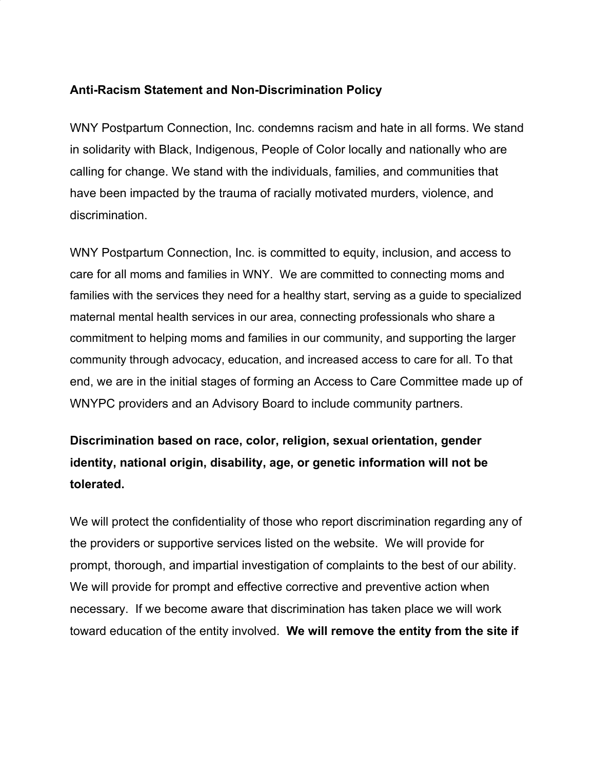## **Anti-Racism Statement and Non-Discrimination Policy**

WNY Postpartum Connection, Inc. condemns racism and hate in all forms. We stand in solidarity with Black, Indigenous, People of Color locally and nationally who are calling for change. We stand with the individuals, families, and communities that have been impacted by the trauma of racially motivated murders, violence, and discrimination.

WNY Postpartum Connection, Inc. is committed to equity, inclusion, and access to care for all moms and families in WNY. We are committed to connecting moms and families with the services they need for a healthy start, serving as a guide to specialized maternal mental health services in our area, connecting professionals who share a commitment to helping moms and families in our community, and supporting the larger community through advocacy, education, and increased access to care for all. To that end, we are in the initial stages of forming an Access to Care Committee made up of WNYPC providers and an Advisory Board to include community partners.

## **Discrimination based on [race](https://www.eeoc.gov/node/24947), [color,](https://www.eeoc.gov/node/24947) [religion,](https://www.eeoc.gov/node/24964) [sex](https://www.eeoc.gov/node/24948)ual [orientation](https://www.eeoc.gov/node/24106), [gender](https://www.eeoc.gov/node/24106) [identity](https://www.eeoc.gov/node/24106), [national](https://www.eeoc.gov/node/24924) origin, [disability,](https://www.eeoc.gov/node/24244) [age,](https://www.eeoc.gov/node/24903) or genetic [information](https://www.eeoc.gov/node/25225) will not be tolerated.**

We will protect the confidentiality of those who report discrimination regarding any of the providers or supportive services listed on the website. We will provide for prompt, thorough, and impartial investigation of complaints to the best of our ability. We will provide for prompt and effective corrective and preventive action when necessary. If we become aware that discrimination has taken place we will work toward education of the entity involved. **We will remove the entity from the site if**